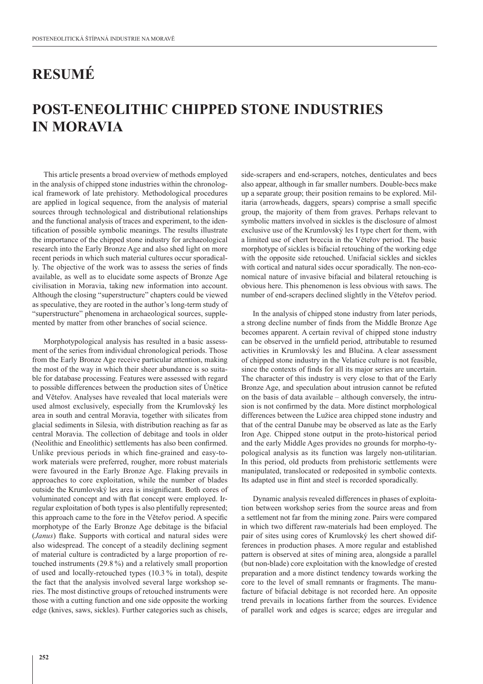## **RESUMÉ**

## **POST-ENEOLITHIC CHIPPED STONE INDUSTRIES IN MORAVIA**

This article presents a broad overview of methods employed in the analysis of chipped stone industries within the chronological framework of late prehistory. Methodological procedures are applied in logical sequence, from the analysis of material sources through technological and distributional relationships and the functional analysis of traces and experiment, to the identification of possible symbolic meanings. The results illustrate the importance of the chipped stone industry for archaeological research into the Early Bronze Age and also shed light on more recent periods in which such material cultures occur sporadically. The objective of the work was to assess the series of finds available, as well as to elucidate some aspects of Bronze Age civilisation in Moravia, taking new information into account. Although the closing "superstructure" chapters could be viewed as speculative, they are rooted in the author's long-term study of "superstructure" phenomena in archaeological sources, supplemented by matter from other branches of social science.

Morphotypological analysis has resulted in a basic assessment of the series from individual chronological periods. Those from the Early Bronze Age receive particular attention, making the most of the way in which their sheer abundance is so suitable for database processing. Features were assessed with regard to possible differences between the production sites of Únětice and Věteřov. Analyses have revealed that local materials were used almost exclusively, especially from the Krumlovský les area in south and central Moravia, together with silicates from glacial sediments in Silesia, with distribution reaching as far as central Moravia. The collection of debitage and tools in older (Neolithic and Eneolithic) settlements has also been confirmed. Unlike previous periods in which fine-grained and easy-towork materials were preferred, rougher, more robust materials were favoured in the Early Bronze Age. Flaking prevails in approaches to core exploitation, while the number of blades outside the Krumlovský les area is insignificant. Both cores of voluminated concept and with flat concept were employed. Irregular exploitation of both types is also plentifully represented; this approach came to the fore in the Věteřov period. A specific morphotype of the Early Bronze Age debitage is the bifacial (*Janus*) flake. Supports with cortical and natural sides were also widespread. The concept of a steadily declining segment of material culture is contradicted by a large proportion of retouched instruments (29.8 %) and a relatively small proportion of used and locally-retouched types (10.3 % in total), despite the fact that the analysis involved several large workshop series. The most distinctive groups of retouched instruments were those with a cutting function and one side opposite the working edge (knives, saws, sickles). Further categories such as chisels,

side-scrapers and end-scrapers, notches, denticulates and becs also appear, although in far smaller numbers. Double-becs make up a separate group; their position remains to be explored. Militaria (arrowheads, daggers, spears) comprise a small specific group, the majority of them from graves. Perhaps relevant to symbolic matters involved in sickles is the disclosure of almost exclusive use of the Krumlovský les I type chert for them, with a limited use of chert breccia in the Věteřov period. The basic morphotype of sickles is bifacial retouching of the working edge with the opposite side retouched. Unifacial sickles and sickles with cortical and natural sides occur sporadically. The non-economical nature of invasive bifacial and bilateral retouching is obvious here. This phenomenon is less obvious with saws. The number of end-scrapers declined slightly in the Věteřov period.

In the analysis of chipped stone industry from later periods, a strong decline number of finds from the Middle Bronze Age becomes apparent. A certain revival of chipped stone industry can be observed in the urnfield period, attributable to resumed activities in Krumlovský les and Blučina. A clear assessment of chipped stone industry in the Velatice culture is not feasible, since the contexts of finds for all its major series are uncertain. The character of this industry is very close to that of the Early Bronze Age, and speculation about intrusion cannot be refuted on the basis of data available – although conversely, the intrusion is not confirmed by the data. More distinct morphological differences between the Lužice area chipped stone industry and that of the central Danube may be observed as late as the Early Iron Age. Chipped stone output in the proto-historical period and the early Middle Ages provides no grounds for morpho-typological analysis as its function was largely non-utilitarian. In this period, old products from prehistoric settlements were manipulated, translocated or redeposited in symbolic contexts. Its adapted use in flint and steel is recorded sporadically.

Dynamic analysis revealed differences in phases of exploitation between workshop series from the source areas and from a settlement not far from the mining zone. Pairs were compared in which two different raw-materials had been employed. The pair of sites using cores of Krumlovský les chert showed differences in production phases. A more regular and established pattern is observed at sites of mining area, alongside a parallel (but non-blade) core exploitation with the knowledge of crested preparation and a more distinct tendency towards working the core to the level of small remnants or fragments. The manufacture of bifacial debitage is not recorded here. An opposite trend prevails in locations farther from the sources. Evidence of parallel work and edges is scarce; edges are irregular and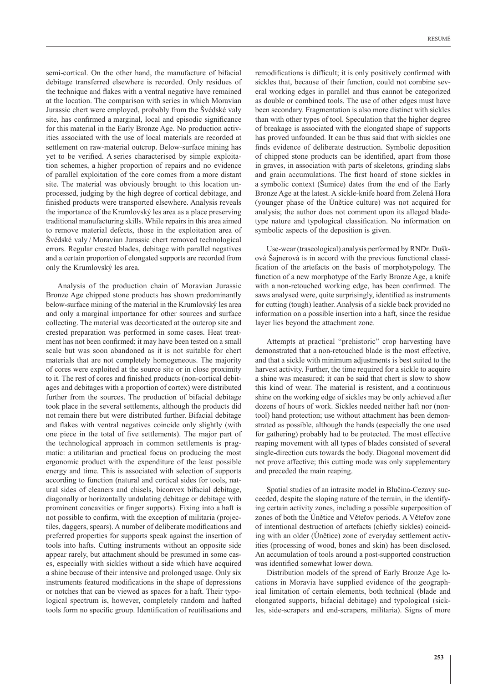semi-cortical. On the other hand, the manufacture of bifacial debitage transferred elsewhere is recorded. Only residues of the technique and flakes with a ventral negative have remained at the location. The comparison with series in which Moravian Jurassic chert were employed, probably from the Švédské valy site, has confirmed a marginal, local and episodic significance for this material in the Early Bronze Age. No production activities associated with the use of local materials are recorded at settlement on raw-material outcrop. Below-surface mining has yet to be verified. A series characterised by simple exploitation schemes, a higher proportion of repairs and no evidence of parallel exploitation of the core comes from a more distant site. The material was obviously brought to this location unprocessed, judging by the high degree of cortical debitage, and finished products were transported elsewhere. Analysis reveals the importance of the Krumlovský les area as a place preserving traditional manufacturing skills. While repairs in this area aimed to remove material defects, those in the exploitation area of Švédské valy / Moravian Jurassic chert removed technological errors. Regular crested blades, debitage with parallel negatives and a certain proportion of elongated supports are recorded from only the Krumlovský les area.

Analysis of the production chain of Moravian Jurassic Bronze Age chipped stone products has shown predominantly below-surface mining of the material in the Krumlovský les area and only a marginal importance for other sources and surface collecting. The material was decorticated at the outcrop site and crested preparation was performed in some cases. Heat treatment has not been confirmed; it may have been tested on a small scale but was soon abandoned as it is not suitable for chert materials that are not completely homogeneous. The majority of cores were exploited at the source site or in close proximity to it. The rest of cores and finished products (non-cortical debitages and debitages with a proportion of cortex) were distributed further from the sources. The production of bifacial debitage took place in the several settlements, although the products did not remain there but were distributed further. Bifacial debitage and flakes with ventral negatives coincide only slightly (with one piece in the total of five settlements). The major part of the technological approach in common settlements is pragmatic: a utilitarian and practical focus on producing the most ergonomic product with the expenditure of the least possible energy and time. This is associated with selection of supports according to function (natural and cortical sides for tools, natural sides of cleaners and chisels, biconvex bifacial debitage, diagonally or horizontally undulating debitage or debitage with prominent concavities or finger supports). Fixing into a haft is not possible to confirm, with the exception of militaria (projectiles, daggers, spears). A number of deliberate modifications and preferred properties for supports speak against the insertion of tools into hafts. Cutting instruments without an opposite side appear rarely, but attachment should be presumed in some cases, especially with sickles without a side which have acquired a shine because of their intensive and prolonged usage. Only six instruments featured modifications in the shape of depressions or notches that can be viewed as spaces for a haft. Their typological spectrum is, however, completely random and hafted tools form no specific group. Identification of reutilisations and

remodifications is difficult; it is only positively confirmed with sickles that, because of their function, could not combine several working edges in parallel and thus cannot be categorized as double or combined tools. The use of other edges must have been secondary. Fragmentation is also more distinct with sickles than with other types of tool. Speculation that the higher degree of breakage is associated with the elongated shape of supports has proved unfounded. It can be thus said that with sickles one finds evidence of deliberate destruction. Symbolic deposition of chipped stone products can be identified, apart from those in graves, in association with parts of skeletons, grinding slabs and grain accumulations. The first hoard of stone sickles in a symbolic context (Šumice) dates from the end of the Early Bronze Age at the latest. A sickle-knife hoard from Zelená Hora (younger phase of the Únětice culture) was not acquired for analysis; the author does not comment upon its alleged bladetype nature and typological classification. No information on symbolic aspects of the deposition is given.

Use-wear (traseological) analysis performed by RNDr. Dušková Šajnerová is in accord with the previous functional classification of the artefacts on the basis of morphotypology. The function of a new morphotype of the Early Bronze Age, a knife with a non-retouched working edge, has been confirmed. The saws analysed were, quite surprisingly, identified as instruments for cutting (tough) leather. Analysis of a sickle back provided no information on a possible insertion into a haft, since the residue layer lies beyond the attachment zone.

Attempts at practical "prehistoric" crop harvesting have demonstrated that a non-retouched blade is the most effective, and that a sickle with minimum adjustments is best suited to the harvest activity. Further, the time required for a sickle to acquire a shine was measured; it can be said that chert is slow to show this kind of wear. The material is resistent, and a continuous shine on the working edge of sickles may be only achieved after dozens of hours of work. Sickles needed neither haft nor (nontool) hand protection; use without attachment has been demonstrated as possible, although the hands (especially the one used for gathering) probably had to be protected. The most effective reaping movement with all types of blades consisted of several single-direction cuts towards the body. Diagonal movement did not prove affective; this cutting mode was only supplementary and preceded the main reaping.

Spatial studies of an intrasite model in Blučina-Cezavy succeeded, despite the sloping nature of the terrain, in the identifying certain activity zones, including a possible superposition of zones of both the Únětice and Věteřov periods. A Věteřov zone of intentional destruction of artefacts (chiefly sickles) coinciding with an older (Únětice) zone of everyday settlement activities (processing of wood, bones and skin) has been disclosed. An accumulation of tools around a post-supported construction was identified somewhat lower down.

Distribution models of the spread of Early Bronze Age locations in Moravia have supplied evidence of the geographical limitation of certain elements, both technical (blade and elongated supports, bifacial debitage) and typological (sickles, side-scrapers and end-scrapers, militaria). Signs of more